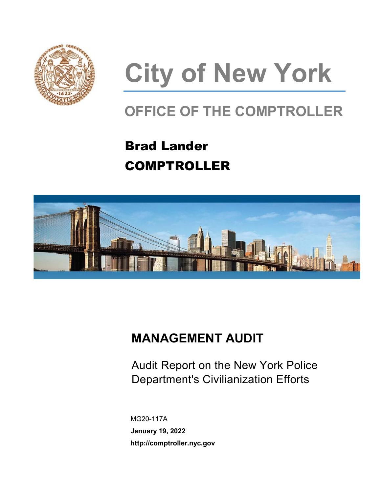

# **City of New York**

# **OFFICE OF THE COMPTROLLER**

# Brad Lander COMPTROLLER



# **MANAGEMENT AUDIT**

Audit Report on the New York Police Department's Civilianization Efforts

MG20-117A **January 19, 2022 http://comptroller.nyc.gov**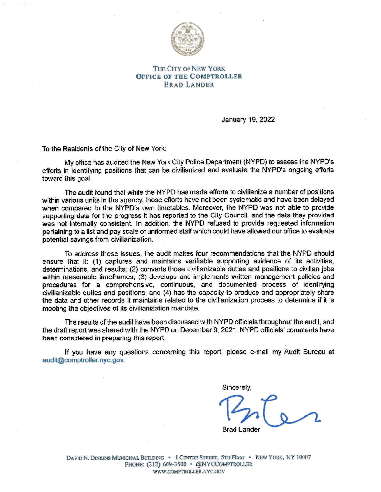

#### THE CITY OF NEW YORK **OFFICE OF THE COMPTROLLER BRAD LANDER**

January 19, 2022

To the Residents of the City of New York:

My office has audited the New York City Police Department (NYPD) to assess the NYPD's efforts in identifying positions that can be civilianized and evaluate the NYPD's ongoing efforts toward this goal.

The audit found that while the NYPD has made efforts to civilianize a number of positions within various units in the agency, those efforts have not been systematic and have been delayed when compared to the NYPD's own timetables. Moreover, the NYPD was not able to provide supporting data for the progress it has reported to the City Council, and the data they provided was not internally consistent. In addition, the NYPD refused to provide requested information pertaining to a list and pay scale of uniformed staff which could have allowed our office to evaluate potential savings from civilianization.

To address these issues, the audit makes four recommendations that the NYPD should ensure that it: (1) captures and maintains verifiable supporting evidence of its activities, determinations, and results; (2) converts those civilianizable duties and positions to civilian jobs within reasonable timeframes; (3) develops and implements written management policies and procedures for a comprehensive, continuous, and documented process of identifying civilianizable duties and positions; and (4) has the capacity to produce and appropriately share the data and other records it maintains related to the civilianization process to determine if it is meeting the objectives of its civilianization mandate.

The results of the audit have been discussed with NYPD officials throughout the audit, and the draft report was shared with the NYPD on December 9, 2021. NYPD officials' comments have been considered in preparing this report.

If you have any questions concerning this report, please e-mail my Audit Bureau at audit@comptroller.nyc.gov.

Sincerely.

**Brad Lander** 

DAVID N. DINKINS MUNICIPAL BUILDING . 1 CENTRE STREET, 5TH Floor . NEW YORK, NY 10007 PHONE: (212) 669-3500 · @NYCCOMPTROLLER WWW.COMPTROLLER.NYC.GOV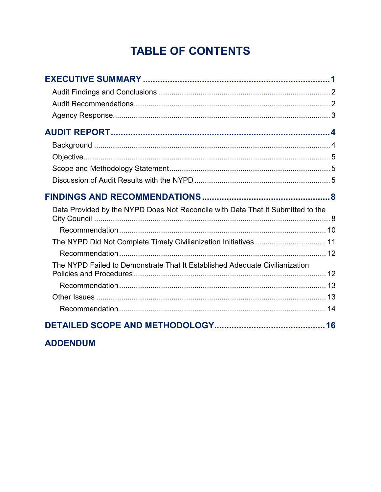# **TABLE OF CONTENTS**

| Data Provided by the NYPD Does Not Reconcile with Data That It Submitted to the |  |
|---------------------------------------------------------------------------------|--|
|                                                                                 |  |
|                                                                                 |  |
|                                                                                 |  |
| The NYPD Failed to Demonstrate That It Established Adequate Civilianization     |  |
|                                                                                 |  |
|                                                                                 |  |
|                                                                                 |  |

### **ADDENDUM**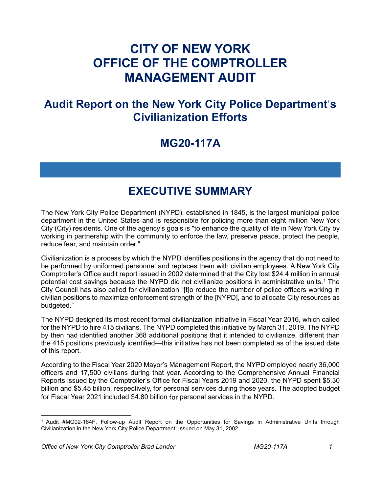# **CITY OF NEW YORK OFFICE OF THE COMPTROLLER MANAGEMENT AUDIT**

# **Audit Report on the New York City Police Department**'**s Civilianization Efforts**

# **MG20-117A**

# **EXECUTIVE SUMMARY**

<span id="page-3-0"></span>The New York City Police Department (NYPD), established in 1845, is the largest municipal police department in the United States and is responsible for policing more than eight million New York City (City) residents. One of the agency's goals is "to enhance the quality of life in New York City by working in partnership with the community to enforce the law, preserve peace, protect the people, reduce fear, and maintain order."

Civilianization is a process by which the NYPD identifies positions in the agency that do not need to be performed by uniformed personnel and replaces them with civilian employees. A New York City Comptroller's Office audit report issued in 2002 determined that the City lost \$24.4 million in annual potential cost savings because the NYPD did not civilianize positions in administrative units.<sup>[1](#page-3-1)</sup> The City Council has also called for civilianization "[t]o reduce the number of police officers working in civilian positions to maximize enforcement strength of the [NYPD], and to allocate City resources as budgeted."

The NYPD designed its most recent formal civilianization initiative in Fiscal Year 2016, which called for the NYPD to hire 415 civilians. The NYPD completed this initiative by March 31, 2019. The NYPD by then had identified another 368 additional positions that it intended to civilianize, different than the 415 positions previously identified—this initiative has not been completed as of the issued date of this report.

According to the Fiscal Year 2020 Mayor's Management Report, the NYPD employed nearly 36,000 officers and 17,500 civilians during that year. According to the Comprehensive Annual Financial Reports issued by the Comptroller's Office for Fiscal Years 2019 and 2020, the NYPD spent \$5.30 billion and \$5.45 billion, respectively, for personal services during those years. The adopted budget for Fiscal Year 2021 included \$4.80 billion for personal services in the NYPD.

<span id="page-3-1"></span> $\overline{\phantom{a}}$ <sup>1</sup> Audit #MG02-164F, Follow-up Audit Report on the Opportunities for Savings in Administrative Units through Civilianization in the New York City Police Department; Issued on May 31, 2002.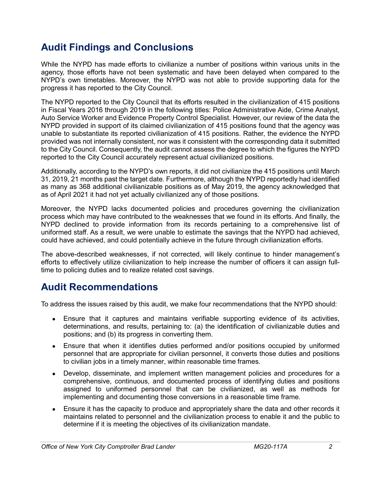# <span id="page-4-0"></span>**Audit Findings and Conclusions**

While the NYPD has made efforts to civilianize a number of positions within various units in the agency, those efforts have not been systematic and have been delayed when compared to the NYPD's own timetables. Moreover, the NYPD was not able to provide supporting data for the progress it has reported to the City Council.

The NYPD reported to the City Council that its efforts resulted in the civilianization of 415 positions in Fiscal Years 2016 through 2019 in the following titles: Police Administrative Aide, Crime Analyst, Auto Service Worker and Evidence Property Control Specialist. However, our review of the data the NYPD provided in support of its claimed civilianization of 415 positions found that the agency was unable to substantiate its reported civilianization of 415 positions. Rather, the evidence the NYPD provided was not internally consistent, nor was it consistent with the corresponding data it submitted to the City Council. Consequently, the audit cannot assess the degree to which the figures the NYPD reported to the City Council accurately represent actual civilianized positions.

Additionally, according to the NYPD's own reports, it did not civilianize the 415 positions until March 31, 2019, 21 months past the target date. Furthermore, although the NYPD reportedly had identified as many as 368 additional civilianizable positions as of May 2019, the agency acknowledged that as of April 2021 it had not yet actually civilianized any of those positions.

Moreover, the NYPD lacks documented policies and procedures governing the civilianization process which may have contributed to the weaknesses that we found in its efforts. And finally, the NYPD declined to provide information from its records pertaining to a comprehensive list of uniformed staff. As a result, we were unable to estimate the savings that the NYPD had achieved, could have achieved, and could potentially achieve in the future through civilianization efforts.

The above-described weaknesses, if not corrected, will likely continue to hinder management's efforts to effectively utilize civilianization to help increase the number of officers it can assign fulltime to policing duties and to realize related cost savings.

# <span id="page-4-1"></span>**Audit Recommendations**

To address the issues raised by this audit, we make four recommendations that the NYPD should:

- Ensure that it captures and maintains verifiable supporting evidence of its activities, determinations, and results, pertaining to: (a) the identification of civilianizable duties and positions; and (b) its progress in converting them.
- Ensure that when it identifies duties performed and/or positions occupied by uniformed personnel that are appropriate for civilian personnel, it converts those duties and positions to civilian jobs in a timely manner, within reasonable time frames.
- Develop, disseminate, and implement written management policies and procedures for a comprehensive, continuous, and documented process of identifying duties and positions assigned to uniformed personnel that can be civilianized, as well as methods for implementing and documenting those conversions in a reasonable time frame.
- Ensure it has the capacity to produce and appropriately share the data and other records it maintains related to personnel and the civilianization process to enable it and the public to determine if it is meeting the objectives of its civilianization mandate.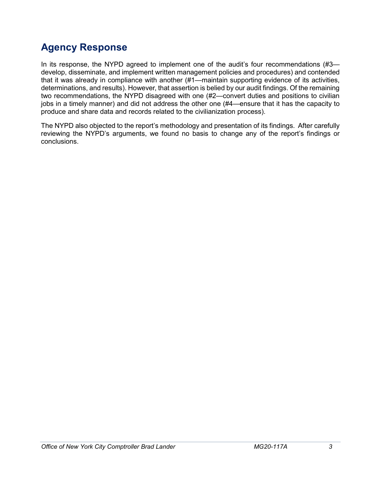# <span id="page-5-0"></span>**Agency Response**

In its response, the NYPD agreed to implement one of the audit's four recommendations (#3 develop, disseminate, and implement written management policies and procedures) and contended that it was already in compliance with another (#1—maintain supporting evidence of its activities, determinations, and results). However, that assertion is belied by our audit findings. Of the remaining two recommendations, the NYPD disagreed with one (#2—convert duties and positions to civilian jobs in a timely manner) and did not address the other one (#4—ensure that it has the capacity to produce and share data and records related to the civilianization process).

The NYPD also objected to the report's methodology and presentation of its findings. After carefully reviewing the NYPD's arguments, we found no basis to change any of the report's findings or conclusions.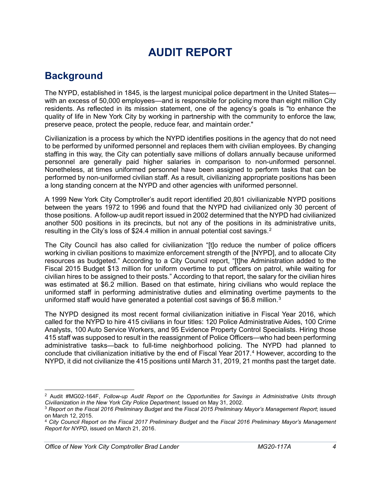# **AUDIT REPORT**

# <span id="page-6-1"></span><span id="page-6-0"></span>**Background**

The NYPD, established in 1845, is the largest municipal police department in the United States with an excess of 50,000 employees—and is responsible for policing more than eight million City residents. As reflected in its mission statement, one of the agency's goals is "to enhance the quality of life in New York City by working in partnership with the community to enforce the law, preserve peace, protect the people, reduce fear, and maintain order."

Civilianization is a process by which the NYPD identifies positions in the agency that do not need to be performed by uniformed personnel and replaces them with civilian employees. By changing staffing in this way, the City can potentially save millions of dollars annually because uniformed personnel are generally paid higher salaries in comparison to non-uniformed personnel. Nonetheless, at times uniformed personnel have been assigned to perform tasks that can be performed by non-uniformed civilian staff. As a result, civilianizing appropriate positions has been a long standing concern at the NYPD and other agencies with uniformed personnel.

A 1999 New York City Comptroller's audit report identified 20,801 civilianizable NYPD positions between the years 1972 to 1996 and found that the NYPD had civilianized only 30 percent of those positions. A follow-up audit report issued in 2002 determined that the NYPD had civilianized another 500 positions in its precincts, but not any of the positions in its administrative units, resulting in the City's loss of \$[2](#page-6-2)4.4 million in annual potential cost savings.<sup>2</sup>

The City Council has also called for civilianization "[t]o reduce the number of police officers working in civilian positions to maximize enforcement strength of the [NYPD], and to allocate City resources as budgeted." According to a City Council report, "[t]he Administration added to the Fiscal 2015 Budget \$13 million for uniform overtime to put officers on patrol, while waiting for civilian hires to be assigned to their posts." According to that report, the salary for the civilian hires was estimated at \$6.2 million. Based on that estimate, hiring civilians who would replace the uniformed staff in performing administrative duties and eliminating overtime payments to the uniformed staff would have generated a potential cost savings of \$6.8 million.<sup>[3](#page-6-3)</sup>

The NYPD designed its most recent formal civilianization initiative in Fiscal Year 2016, which called for the NYPD to hire 415 civilians in four titles: 120 Police Administrative Aides, 100 Crime Analysts, 100 Auto Service Workers, and 95 Evidence Property Control Specialists. Hiring those 415 staff was supposed to result in the reassignment of Police Officers—who had been performing administrative tasks—back to full-time neighborhood policing. The NYPD had planned to conclude that civilianization initiative by the end of Fiscal Year 2017.[4](#page-6-4) However, according to the NYPD, it did not civilianize the 415 positions until March 31, 2019, 21 months past the target date.

<span id="page-6-2"></span>l <sup>2</sup> Audit #MG02-164F, *Follow-up Audit Report on the Opportunities for Savings in Administrative Units through Civilianization in the New York City Police Department*; Issued on May 31, 2002.

<span id="page-6-3"></span><sup>3</sup> *Report on the Fiscal 2016 Preliminary Budget* and the *Fiscal 2015 Preliminary Mayor's Management Report*; issued on March 12, 2015.

<span id="page-6-4"></span><sup>4</sup> *City Council Report on the Fiscal 2017 Preliminary Budget* and the *Fiscal 2016 Preliminary Mayor's Management Report for NYPD*, issued on March 21, 2016.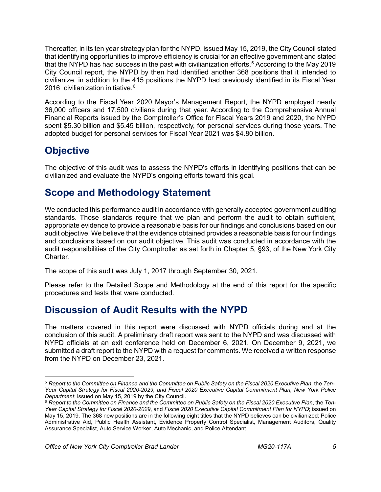Thereafter, in its ten year strategy plan for the NYPD, issued May 15, 2019, the City Council stated that identifying opportunities to improve efficiency is crucial for an effective government and stated that the NYPD has had success in the past with civilianization efforts.<sup>[5](#page-7-3)</sup> According to the May 2019 City Council report, the NYPD by then had identified another 368 positions that it intended to civilianize, in addition to the 415 positions the NYPD had previously identified in its Fiscal Year 201[6](#page-7-4) civilianization initiative. $6$ 

According to the Fiscal Year 2020 Mayor's Management Report, the NYPD employed nearly 36,000 officers and 17,500 civilians during that year. According to the Comprehensive Annual Financial Reports issued by the Comptroller's Office for Fiscal Years 2019 and 2020, the NYPD spent \$5.30 billion and \$5.45 billion, respectively, for personal services during those years. The adopted budget for personal services for Fiscal Year 2021 was \$4.80 billion.

# <span id="page-7-0"></span>**Objective**

The objective of this audit was to assess the NYPD's efforts in identifying positions that can be civilianized and evaluate the NYPD's ongoing efforts toward this goal.

# <span id="page-7-1"></span>**Scope and Methodology Statement**

We conducted this performance audit in accordance with generally accepted government auditing standards. Those standards require that we plan and perform the audit to obtain sufficient, appropriate evidence to provide a reasonable basis for our findings and conclusions based on our audit objective. We believe that the evidence obtained provides a reasonable basis for our findings and conclusions based on our audit objective. This audit was conducted in accordance with the audit responsibilities of the City Comptroller as set forth in Chapter 5, §93, of the New York City Charter.

The scope of this audit was July 1, 2017 through September 30, 2021.

Please refer to the Detailed Scope and Methodology at the end of this report for the specific procedures and tests that were conducted.

# <span id="page-7-2"></span>**Discussion of Audit Results with the NYPD**

The matters covered in this report were discussed with NYPD officials during and at the conclusion of this audit. A preliminary draft report was sent to the NYPD and was discussed with NYPD officials at an exit conference held on December 6, 2021. On December 9, 2021, we submitted a draft report to the NYPD with a request for comments. We received a written response from the NYPD on December 23, 2021.

<span id="page-7-3"></span>l <sup>5</sup> Report to the Committee on Finance and the Committee on Public Safety on the Fiscal 2020 Executive Plan, the Ten-*Year Capital Strategy for Fiscal 2020-2029, and Fiscal 2020 Executive Capital Commitment Plan; New York Police Department*; issued on May 15, 2019 by the City Council.

<span id="page-7-4"></span><sup>&</sup>lt;sup>6</sup> Report to the Committee on Finance and the Committee on Public Safety on the Fiscal 2020 Executive Plan, the Ten-*Year Capital Strategy for Fiscal 2020-2029*, and *Fiscal 2020 Executive Capital Commitment Plan for NYPD*; issued on May 15, 2019. The 368 new positions are in the following eight titles that the NYPD believes can be civilianized: Police Administrative Aid, Public Health Assistant, Evidence Property Control Specialist, Management Auditors, Quality Assurance Specialist, Auto Service Worker, Auto Mechanic, and Police Attendant.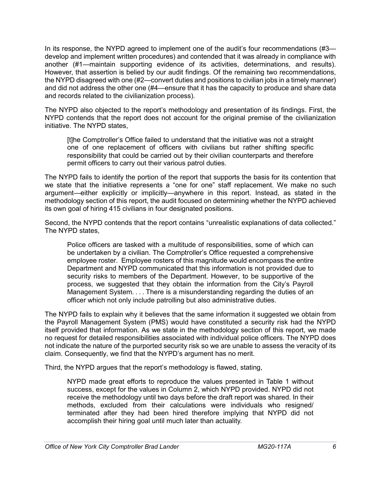In its response, the NYPD agreed to implement one of the audit's four recommendations (#3 develop and implement written procedures) and contended that it was already in compliance with another (#1—maintain supporting evidence of its activities, determinations, and results). However, that assertion is belied by our audit findings. Of the remaining two recommendations, the NYPD disagreed with one (#2—convert duties and positions to civilian jobs in a timely manner) and did not address the other one (#4—ensure that it has the capacity to produce and share data and records related to the civilianization process).

The NYPD also objected to the report's methodology and presentation of its findings. First, the NYPD contends that the report does not account for the original premise of the civilianization initiative. The NYPD states,

[t]he Comptroller's Office failed to understand that the initiative was not a straight one of one replacement of officers with civilians but rather shifting specific responsibility that could be carried out by their civilian counterparts and therefore permit officers to carry out their various patrol duties.

The NYPD fails to identify the portion of the report that supports the basis for its contention that we state that the initiative represents a "one for one" staff replacement. We make no such argument—either explicitly or implicitly—anywhere in this report. Instead, as stated in the methodology section of this report, the audit focused on determining whether the NYPD achieved its own goal of hiring 415 civilians in four designated positions.

Second, the NYPD contends that the report contains "unrealistic explanations of data collected." The NYPD states,

Police officers are tasked with a multitude of responsibilities, some of which can be undertaken by a civilian. The Comptroller's Office requested a comprehensive employee roster. Employee rosters of this magnitude would encompass the entire Department and NYPD communicated that this information is not provided due to security risks to members of the Department. However, to be supportive of the process, we suggested that they obtain the information from the City's Payroll Management System. . . . There is a misunderstanding regarding the duties of an officer which not only include patrolling but also administrative duties.

The NYPD fails to explain why it believes that the same information it suggested we obtain from the Payroll Management System (PMS) would have constituted a security risk had the NYPD itself provided that information. As we state in the methodology section of this report, we made no request for detailed responsibilities associated with individual police officers. The NYPD does not indicate the nature of the purported security risk so we are unable to assess the veracity of its claim. Consequently, we find that the NYPD's argument has no merit.

Third, the NYPD argues that the report's methodology is flawed, stating,

NYPD made great efforts to reproduce the values presented in Table 1 without success, except for the values in Column 2, which NYPD provided. NYPD did not receive the methodology until two days before the draft report was shared. In their methods, excluded from their calculations were individuals who resigned/ terminated after they had been hired therefore implying that NYPD did not accomplish their hiring goal until much later than actuality.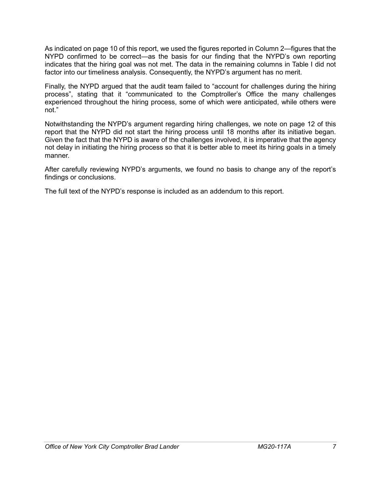As indicated on page 10 of this report, we used the figures reported in Column 2—figures that the NYPD confirmed to be correct—as the basis for our finding that the NYPD's own reporting indicates that the hiring goal was not met. The data in the remaining columns in Table I did not factor into our timeliness analysis. Consequently, the NYPD's argument has no merit.

Finally, the NYPD argued that the audit team failed to "account for challenges during the hiring process", stating that it "communicated to the Comptroller's Office the many challenges experienced throughout the hiring process, some of which were anticipated, while others were not."

Notwithstanding the NYPD's argument regarding hiring challenges, we note on page 12 of this report that the NYPD did not start the hiring process until 18 months after its initiative began. Given the fact that the NYPD is aware of the challenges involved, it is imperative that the agency not delay in initiating the hiring process so that it is better able to meet its hiring goals in a timely manner.

After carefully reviewing NYPD's arguments, we found no basis to change any of the report's findings or conclusions.

The full text of the NYPD's response is included as an addendum to this report.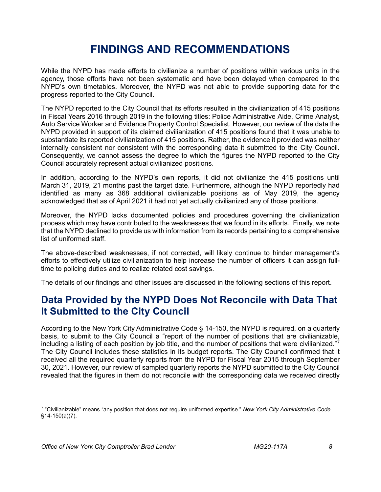# **FINDINGS AND RECOMMENDATIONS**

<span id="page-10-0"></span>While the NYPD has made efforts to civilianize a number of positions within various units in the agency, those efforts have not been systematic and have been delayed when compared to the NYPD's own timetables. Moreover, the NYPD was not able to provide supporting data for the progress reported to the City Council.

The NYPD reported to the City Council that its efforts resulted in the civilianization of 415 positions in Fiscal Years 2016 through 2019 in the following titles: Police Administrative Aide, Crime Analyst, Auto Service Worker and Evidence Property Control Specialist. However, our review of the data the NYPD provided in support of its claimed civilianization of 415 positions found that it was unable to substantiate its reported civilianization of 415 positions. Rather, the evidence it provided was neither internally consistent nor consistent with the corresponding data it submitted to the City Council. Consequently, we cannot assess the degree to which the figures the NYPD reported to the City Council accurately represent actual civilianized positions.

In addition, according to the NYPD's own reports, it did not civilianize the 415 positions until March 31, 2019, 21 months past the target date. Furthermore, although the NYPD reportedly had identified as many as 368 additional civilianizable positions as of May 2019, the agency acknowledged that as of April 2021 it had not yet actually civilianized any of those positions.

Moreover, the NYPD lacks documented policies and procedures governing the civilianization process which may have contributed to the weaknesses that we found in its efforts. Finally, we note that the NYPD declined to provide us with information from its records pertaining to a comprehensive list of uniformed staff.

The above-described weaknesses, if not corrected, will likely continue to hinder management's efforts to effectively utilize civilianization to help increase the number of officers it can assign fulltime to policing duties and to realize related cost savings.

The details of our findings and other issues are discussed in the following sections of this report.

# <span id="page-10-1"></span>**Data Provided by the NYPD Does Not Reconcile with Data That It Submitted to the City Council**

According to the New York City Administrative Code § 14-150, the NYPD is required, on a quarterly basis, to submit to the City Council a "report of the number of positions that are civilianizable, including a listing of each position by job title, and the number of positions that were civilianized."[7](#page-10-2) The City Council includes these statistics in its budget reports. The City Council confirmed that it received all the required quarterly reports from the NYPD for Fiscal Year 2015 through September 30, 2021. However, our review of sampled quarterly reports the NYPD submitted to the City Council revealed that the figures in them do not reconcile with the corresponding data we received directly

 $\overline{a}$ 

<span id="page-10-2"></span><sup>7</sup> "Civilianizable" means "any position that does not require uniformed expertise." *New York City Administrative Code* §14-150(a)(7).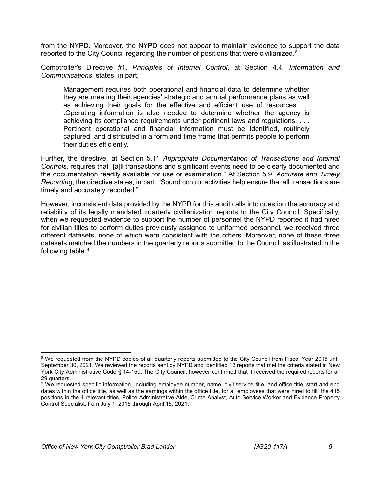from the NYPD. Moreover, the NYPD does not appear to maintain evidence to support the data reported to the City Council regarding the number of positions that were civilianized. $8$ 

Comptroller's Directive #1, *Principles of Internal Control*, at Section 4.4, *Information and Communications*, states, in part,

Management requires both operational and financial data to determine whether they are meeting their agencies' strategic and annual performance plans as well as achieving their goals for the effective and efficient use of resources. . . .Operating information is also needed to determine whether the agency is achieving its compliance requirements under pertinent laws and regulations. . . . Pertinent operational and financial information must be identified, routinely captured, and distributed in a form and time frame that permits people to perform their duties efficiently.

Further, the directive, at Section 5.11 *Appropriate Documentation of Transactions and Internal Controls,* requires that "[a]ll transactions and significant events need to be clearly documented and the documentation readily available for use or examination." At Section 5.9, *Accurate and Timely Recording*, the directive states, in part, "Sound control activities help ensure that all transactions are timely and accurately recorded."

However, inconsistent data provided by the NYPD for this audit calls into question the accuracy and reliability of its legally mandated quarterly civilianization reports to the City Council. Specifically, when we requested evidence to support the number of personnel the NYPD reported it had hired for civilian titles to perform duties previously assigned to uniformed personnel, we received three different datasets, none of which were consistent with the others. Moreover, none of these three datasets matched the numbers in the quarterly reports submitted to the Council, as illustrated in the following table.<sup>[9](#page-11-1)</sup>

l

<span id="page-11-0"></span><sup>&</sup>lt;sup>8</sup> We requested from the NYPD copies of all quarterly reports submitted to the City Council from Fiscal Year 2015 until September 30, 2021. We reviewed the reports sent by NYPD and identified 13 reports that met the criteria stated in New York City Administrative Code § 14-150. The City Council, however confirmed that it received the required reports for all 29 quarters.

<span id="page-11-1"></span><sup>&</sup>lt;sup>9</sup> We requested specific information, including employee number, name, civil service title, and office title, start and end dates within the office title, as well as the earnings within the office title, for all employees that were hired to fill the 415 positions in the 4 relevant titles, Police Administrative Aide, Crime Analyst, Auto Service Worker and Evidence Property Control Specialist, from July 1, 2015 through April 15, 2021.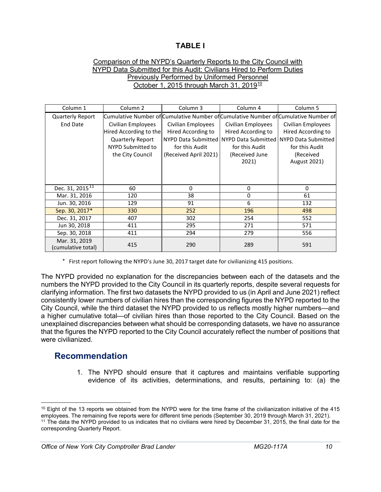#### **TABLE I**

#### Comparison of the NYPD's Quarterly Reports to the City Council with NYPD Data Submitted for this Audit: Civilians Hired to Perform Duties Previously Performed by Uniformed Personnel October 1, 2015 through March 31, 2019<sup>[10](#page-12-1)</sup>

| Column 1                            | Column <sub>2</sub>     | Column 3              | Column 4                                                    | Column 5                                                                            |
|-------------------------------------|-------------------------|-----------------------|-------------------------------------------------------------|-------------------------------------------------------------------------------------|
| <b>Quarterly Report</b>             |                         |                       |                                                             | Cumulative Number of Cumulative Number of Cumulative Number of Cumulative Number of |
| <b>End Date</b>                     | Civilian Employees      | Civilian Employees    | Civilian Employees                                          | Civilian Employees                                                                  |
|                                     | Hired According to the  | Hired According to    | Hired According to                                          | Hired According to                                                                  |
|                                     | <b>Quarterly Report</b> |                       | NYPD Data Submitted NYPD Data Submitted NYPD Data Submitted |                                                                                     |
|                                     | NYPD Submitted to       | for this Audit        | for this Audit                                              | for this Audit                                                                      |
|                                     | the City Council        | (Received April 2021) | (Received June                                              | (Received                                                                           |
|                                     |                         |                       | 2021)                                                       | <b>August 2021)</b>                                                                 |
|                                     |                         |                       |                                                             |                                                                                     |
|                                     |                         |                       |                                                             |                                                                                     |
| Dec. 31, 2015 <sup>11</sup>         | 60                      | 0                     | 0                                                           | $\Omega$                                                                            |
| Mar. 31, 2016                       | 120                     | 38                    | $\mathbf 0$                                                 | 61                                                                                  |
| Jun. 30, 2016                       | 129                     | 91                    | 6                                                           | 132                                                                                 |
| Sep. 30, 2017*                      | 330                     | 252                   | 196                                                         | 498                                                                                 |
| Dec. 31, 2017                       | 407                     | 302                   | 254                                                         | 552                                                                                 |
| Jun 30, 2018                        | 411                     | 295                   | 271                                                         | 571                                                                                 |
| Sep. 30, 2018                       | 411                     | 294                   | 279                                                         | 556                                                                                 |
| Mar. 31, 2019<br>(cumulative total) | 415                     | 290                   | 289                                                         | 591                                                                                 |

\* First report following the NYPD's June 30, 2017 target date for civilianizing 415 positions.

The NYPD provided no explanation for the discrepancies between each of the datasets and the numbers the NYPD provided to the City Council in its quarterly reports, despite several requests for clarifying information. The first two datasets the NYPD provided to us (in April and June 2021) reflect consistently lower numbers of civilian hires than the corresponding figures the NYPD reported to the City Council, while the third dataset the NYPD provided to us reflects mostly higher numbers—and a higher cumulative total—of civilian hires than those reported to the City Council. Based on the unexplained discrepancies between what should be corresponding datasets, we have no assurance that the figures the NYPD reported to the City Council accurately reflect the number of positions that were civilianized.

#### <span id="page-12-0"></span>**Recommendation**

 $\overline{\phantom{a}}$ 

1. The NYPD should ensure that it captures and maintains verifiable supporting evidence of its activities, determinations, and results, pertaining to: (a) the

<span id="page-12-1"></span> $10$  Eight of the 13 reports we obtained from the NYPD were for the time frame of the civilianization initiative of the 415 employees. The remaining five reports were for different time periods (September 30, 2019 through March 31, 2021). <sup>11</sup> The data the NYPD provided to us indicates that no civilians were hired by December 31, 2015, the final date for the

<span id="page-12-2"></span>corresponding Quarterly Report.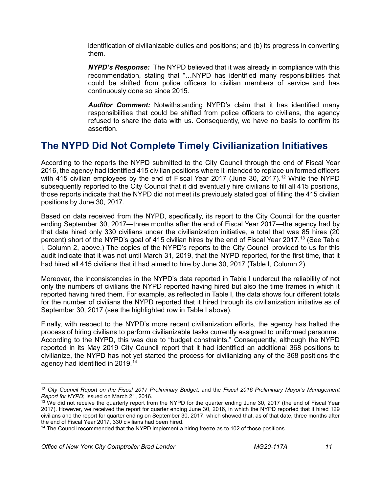identification of civilianizable duties and positions; and (b) its progress in converting them.

*NYPD's Response:* The NYPD believed that it was already in compliance with this recommendation, stating that "…NYPD has identified many responsibilities that could be shifted from police officers to civilian members of service and has continuously done so since 2015.

*Auditor Comment:* Notwithstanding NYPD's claim that it has identified many responsibilities that could be shifted from police officers to civilians, the agency refused to share the data with us. Consequently, we have no basis to confirm its assertion.

# <span id="page-13-0"></span>**The NYPD Did Not Complete Timely Civilianization Initiatives**

According to the reports the NYPD submitted to the City Council through the end of Fiscal Year 2016, the agency had identified 415 civilian positions where it intended to replace uniformed officers with 415 civilian employees by the end of Fiscal Year 2017 (June 30, 2017).<sup>[12](#page-13-1)</sup> While the NYPD subsequently reported to the City Council that it did eventually hire civilians to fill all 415 positions, those reports indicate that the NYPD did not meet its previously stated goal of filling the 415 civilian positions by June 30, 2017.

Based on data received from the NYPD, specifically, its report to the City Council for the quarter ending September 30, 2017—three months after the end of Fiscal Year 2017—the agency had by that date hired only 330 civilians under the civilianization initiative, a total that was 85 hires (20 percent) short of the NYPD's goal of 415 civilian hires by the end of Fiscal Year 2017.<sup>[13](#page-13-2)</sup> [\(](#page-14-2)See Table I, Column 2, above.) The copies of the NYPD's reports to the City Council provided to us for this audit indicate that it was not until March 31, 2019, that the NYPD reported, for the first time, that it had hired all 415 civilians that it had aimed to hire by June 30, 2017 (Table I, Column 2).

Moreover, the inconsistencies in the NYPD's data reported in Table I undercut the reliability of not only the numbers of civilians the NYPD reported having hired but also the time frames in which it reported having hired them. For example, as reflected in Table I, the data shows four different totals for the number of civilians the NYPD reported that it hired through its civilianization initiative as of September 30, 2017 (see the highlighted row in Table I above).

Finally, with respect to the NYPD's more recent civilianization efforts, the agency has halted the process of hiring civilians to perform civilianizable tasks currently assigned to uniformed personnel. According to the NYPD, this was due to "budget constraints." Consequently, although the NYPD reported in its May 2019 City Council report that it had identified an additional 368 positions to civilianize, the NYPD has not yet started the process for civilianizing any of the 368 positions the agency had identified in 2019.[14](#page-13-3)

 $\overline{\phantom{a}}$ 

<span id="page-13-1"></span><sup>12</sup> *City Council Report on the Fiscal 2017 Preliminary Budget*, and the *Fiscal 2016 Preliminary Mayor's Management Report for NYPD*; Issued on March 21, 2016.

<span id="page-13-2"></span><sup>&</sup>lt;sup>13</sup> We did not receive the quarterly report from the NYPD for the quarter ending June 30, 2017 (the end of Fiscal Year 2017). However, we received the report for quarter ending June 30, 2016, in which the NYPD reported that it hired 129 civilians and the report for quarter ending on September 30, 2017, which showed that, as of that date, three months after the end of Fiscal Year 2017, 330 civilians had been hired.

<span id="page-13-3"></span><sup>&</sup>lt;sup>14</sup> The Council recommended that the NYPD implement a hiring freeze as to 102 of those positions.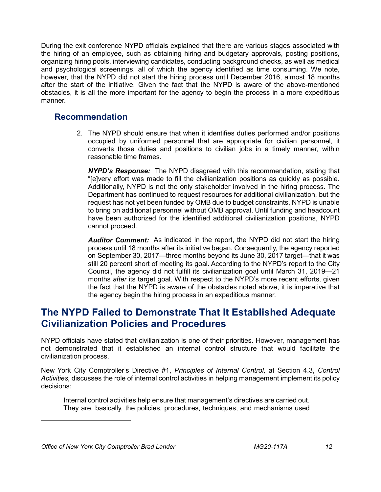During the exit conference NYPD officials explained that there are various stages associated with the hiring of an employee, such as obtaining hiring and budgetary approvals, posting positions, organizing hiring pools, interviewing candidates, conducting background checks, as well as medical and psychological screenings, all of which the agency identified as time consuming. We note, however, that the NYPD did not start the hiring process until December 2016, almost 18 months after the start of the initiative. Given the fact that the NYPD is aware of the above-mentioned obstacles, it is all the more important for the agency to begin the process in a more expeditious manner.

#### <span id="page-14-0"></span>**Recommendation**

2. The NYPD should ensure that when it identifies duties performed and/or positions occupied by uniformed personnel that are appropriate for civilian personnel, it converts those duties and positions to civilian jobs in a timely manner, within reasonable time frames.

<span id="page-14-2"></span>*NYPD's Response:* The NYPD disagreed with this recommendation, stating that "[e]very effort was made to fill the civilianization positions as quickly as possible. Additionally, NYPD is not the only stakeholder involved in the hiring process. The Department has continued to request resources for additional civilianization, but the request has not yet been funded by OMB due to budget constraints, NYPD is unable to bring on additional personnel without OMB approval. Until funding and headcount have been authorized for the identified additional civilianization positions, NYPD cannot proceed.

*Auditor Comment:* As indicated in the report, the NYPD did not start the hiring process until 18 months after its initiative began. Consequently, the agency reported on September 30, 2017—three months beyond its June 30, 2017 target—that it was still 20 percent short of meeting its goal. According to the NYPD's report to the City Council, the agency did not fulfill its civilianization goal until March 31, 2019—21 months *after* its target goal. With respect to the NYPD's more recent efforts, given the fact that the NYPD is aware of the obstacles noted above, it is imperative that the agency begin the hiring process in an expeditious manner.

# <span id="page-14-1"></span>**The NYPD Failed to Demonstrate That It Established Adequate Civilianization Policies and Procedures**

NYPD officials have stated that civilianization is one of their priorities. However, management has not demonstrated that it established an internal control structure that would facilitate the civilianization process.

New York City Comptroller's Directive #1, *Principles of Internal Control,* at Section 4.3, *Control Activities,* discusses the role of internal control activities in helping management implement its policy decisions:

Internal control activities help ensure that management's directives are carried out. They are, basically, the policies, procedures, techniques, and mechanisms used

*Office of New York City Comptroller Brad Lander MG20-117A 12*

l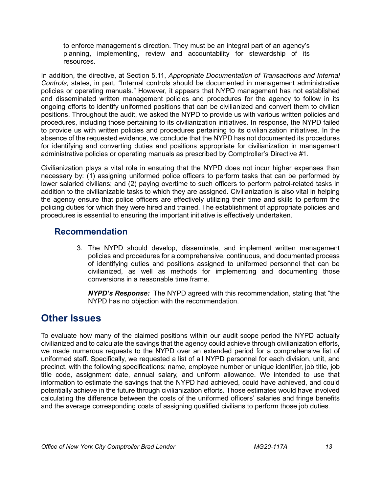to enforce management's direction. They must be an integral part of an agency's planning, implementing, review and accountability for stewardship of its resources.

In addition, the directive, at Section 5.11, *Appropriate Documentation of Transactions and Internal Controls*, states, in part, "Internal controls should be documented in management administrative policies or operating manuals." However, it appears that NYPD management has not established and disseminated written management policies and procedures for the agency to follow in its ongoing efforts to identify uniformed positions that can be civilianized and convert them to civilian positions. Throughout the audit, we asked the NYPD to provide us with various written policies and procedures, including those pertaining to its civilianization initiatives. In response, the NYPD failed to provide us with written policies and procedures pertaining to its civilianization initiatives. In the absence of the requested evidence, we conclude that the NYPD has not documented its procedures for identifying and converting duties and positions appropriate for civilianization in management administrative policies or operating manuals as prescribed by Comptroller's Directive #1.

Civilianization plays a vital role in ensuring that the NYPD does not incur higher expenses than necessary by: (1) assigning uniformed police officers to perform tasks that can be performed by lower salaried civilians; and (2) paying overtime to such officers to perform patrol-related tasks in addition to the civilianizable tasks to which they are assigned. Civilianization is also vital in helping the agency ensure that police officers are effectively utilizing their time and skills to perform the policing duties for which they were hired and trained. The establishment of appropriate policies and procedures is essential to ensuring the important initiative is effectively undertaken.

#### <span id="page-15-0"></span>**Recommendation**

3. The NYPD should develop, disseminate, and implement written management policies and procedures for a comprehensive, continuous, and documented process of identifying duties and positions assigned to uniformed personnel that can be civilianized, as well as methods for implementing and documenting those conversions in a reasonable time frame.

<span id="page-15-1"></span>*NYPD's Response:* The NYPD agreed with this recommendation, stating that "the NYPD has no objection with the recommendation.

# **Other Issues**

To evaluate how many of the claimed positions within our audit scope period the NYPD actually civilianized and to calculate the savings that the agency could achieve through civilianization efforts, we made numerous requests to the NYPD over an extended period for a comprehensive list of uniformed staff. Specifically, we requested a list of all NYPD personnel for each division, unit, and precinct, with the following specifications: name, employee number or unique identifier, job title, job title code, assignment date, annual salary, and uniform allowance. We intended to use that information to estimate the savings that the NYPD had achieved, could have achieved, and could potentially achieve in the future through civilianization efforts. Those estimates would have involved calculating the difference between the costs of the uniformed officers' salaries and fringe benefits and the average corresponding costs of assigning qualified civilians to perform those job duties.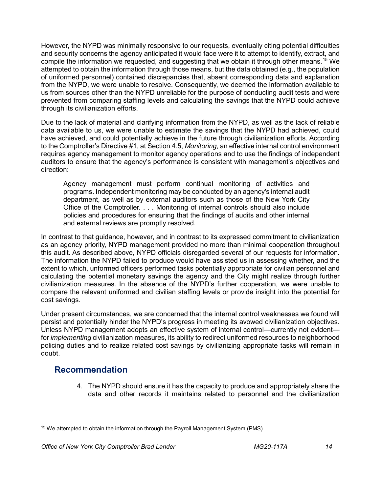However, the NYPD was minimally responsive to our requests, eventually citing potential difficulties and security concerns the agency anticipated it would face were it to attempt to identify, extract, and compile the information we requested, and suggesting that we obtain it through other means.<sup>[15](#page-16-1)</sup> We attempted to obtain the information through those means, but the data obtained (e.g., the population of uniformed personnel) contained discrepancies that, absent corresponding data and explanation from the NYPD, we were unable to resolve. Consequently, we deemed the information available to us from sources other than the NYPD unreliable for the purpose of conducting audit tests and were prevented from comparing staffing levels and calculating the savings that the NYPD could achieve through its civilianization efforts.

Due to the lack of material and clarifying information from the NYPD, as well as the lack of reliable data available to us, we were unable to estimate the savings that the NYPD had achieved, could have achieved, and could potentially achieve in the future through civilianization efforts. According to the Comptroller's Directive #1, at Section 4.5, *Monitoring*, an effective internal control environment requires agency management to monitor agency operations and to use the findings of independent auditors to ensure that the agency's performance is consistent with management's objectives and direction:

Agency management must perform continual monitoring of activities and programs. Independent monitoring may be conducted by an agency's internal audit department, as well as by external auditors such as those of the New York City Office of the Comptroller. . . . Monitoring of internal controls should also include policies and procedures for ensuring that the findings of audits and other internal and external reviews are promptly resolved.

In contrast to that guidance, however, and in contrast to its expressed commitment to civilianization as an agency priority, NYPD management provided no more than minimal cooperation throughout this audit. As described above, NYPD officials disregarded several of our requests for information. The information the NYPD failed to produce would have assisted us in assessing whether, and the extent to which, unformed officers performed tasks potentially appropriate for civilian personnel and calculating the potential monetary savings the agency and the City might realize through further civilianization measures. In the absence of the NYPD's further cooperation, we were unable to compare the relevant uniformed and civilian staffing levels or provide insight into the potential for cost savings.

Under present circumstances, we are concerned that the internal control weaknesses we found will persist and potentially hinder the NYPD's progress in meeting its avowed civilianization objectives. Unless NYPD management adopts an effective system of internal control—currently not evident for *implementing* civilianization measures, its ability to redirect uniformed resources to neighborhood policing duties and to realize related cost savings by civilianizing appropriate tasks will remain in doubt.

#### <span id="page-16-0"></span>**Recommendation**

4. The NYPD should ensure it has the capacity to produce and appropriately share the data and other records it maintains related to personnel and the civilianization

<span id="page-16-1"></span>l <sup>15</sup> We attempted to obtain the information through the Payroll Management System (PMS).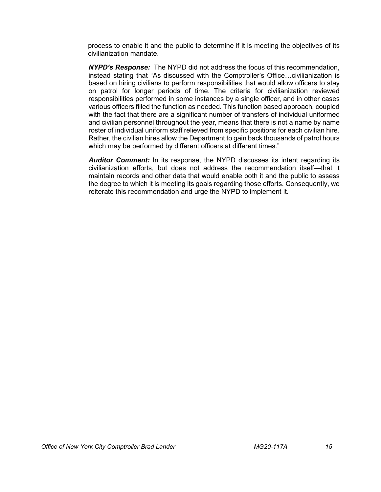process to enable it and the public to determine if it is meeting the objectives of its civilianization mandate.

*NYPD's Response:* The NYPD did not address the focus of this recommendation, instead stating that "As discussed with the Comptroller's Office…civilianization is based on hiring civilians to perform responsibilities that would allow officers to stay on patrol for longer periods of time. The criteria for civilianization reviewed responsibilities performed in some instances by a single officer, and in other cases various officers filled the function as needed. This function based approach, coupled with the fact that there are a significant number of transfers of individual uniformed and civilian personnel throughout the year, means that there is not a name by name roster of individual uniform staff relieved from specific positions for each civilian hire. Rather, the civilian hires allow the Department to gain back thousands of patrol hours which may be performed by different officers at different times."

*Auditor Comment:* In its response, the NYPD discusses its intent regarding its civilianization efforts, but does not address the recommendation itself—that it maintain records and other data that would enable both it and the public to assess the degree to which it is meeting its goals regarding those efforts. Consequently, we reiterate this recommendation and urge the NYPD to implement it.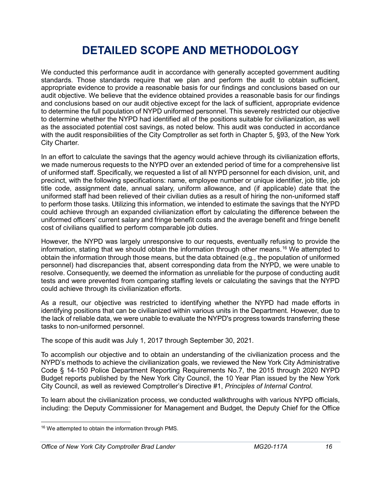# **DETAILED SCOPE AND METHODOLOGY**

<span id="page-18-0"></span>We conducted this performance audit in accordance with generally accepted government auditing standards. Those standards require that we plan and perform the audit to obtain sufficient, appropriate evidence to provide a reasonable basis for our findings and conclusions based on our audit objective. We believe that the evidence obtained provides a reasonable basis for our findings and conclusions based on our audit objective except for the lack of sufficient, appropriate evidence to determine the full population of NYPD uniformed personnel. This severely restricted our objective to determine whether the NYPD had identified all of the positions suitable for civilianization, as well as the associated potential cost savings, as noted below. This audit was conducted in accordance with the audit responsibilities of the City Comptroller as set forth in Chapter 5, §93, of the New York City Charter.

In an effort to calculate the savings that the agency would achieve through its civilianization efforts, we made numerous requests to the NYPD over an extended period of time for a comprehensive list of uniformed staff. Specifically, we requested a list of all NYPD personnel for each division, unit, and precinct, with the following specifications: name, employee number or unique identifier, job title, job title code, assignment date, annual salary, uniform allowance, and (if applicable) date that the uniformed staff had been relieved of their civilian duties as a result of hiring the non-uniformed staff to perform those tasks. Utilizing this information, we intended to estimate the savings that the NYPD could achieve through an expanded civilianization effort by calculating the difference between the uniformed officers' current salary and fringe benefit costs and the average benefit and fringe benefit cost of civilians qualified to perform comparable job duties.

However, the NYPD was largely unresponsive to our requests, eventually refusing to provide the information, stating that we should obtain the information through other means.<sup>[16](#page-18-2)</sup> We attempted to obtain the information through those means, but the data obtained (e.g., the population of uniformed personnel) had discrepancies that, absent corresponding data from the NYPD, we were unable to resolve. Consequently, we deemed the information as unreliable for the purpose of conducting audit tests and were prevented from comparing staffing levels or calculating the savings that the NYPD could achieve through its civilianization efforts.

As a result, our objective was restricted to identifying whether the NYPD had made efforts in identifying positions that can be civilianized within various units in the Department. However, due to the lack of reliable data, we were unable to evaluate the NYPD's progress towards transferring these tasks to non-uniformed personnel.

The scope of this audit was July 1, 2017 through September 30, 2021.

To accomplish our objective and to obtain an understanding of the civilianization process and the NYPD's methods to achieve the civilianization goals, we reviewed the New York City Administrative Code § 14-150 Police Department Reporting Requirements No.7, the 2015 through 2020 NYPD Budget reports published by the New York City Council, the 10 Year Plan issued by the New York City Council, as well as reviewed Comptroller's Directive #1, *Principles of Internal Control*.

<span id="page-18-1"></span>To learn about the civilianization process, we conducted walkthroughs with various NYPD officials, including: the Deputy Commissioner for Management and Budget, the Deputy Chief for the Office

<span id="page-18-2"></span>l <sup>16</sup> We attempted to obtain the information through PMS.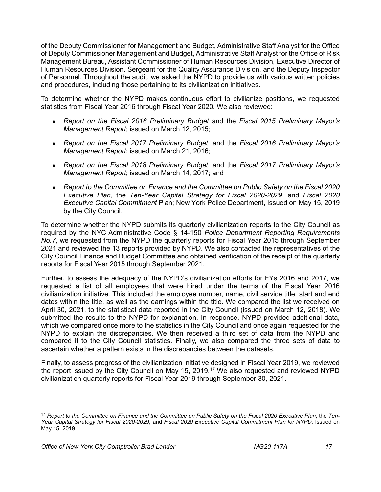of the Deputy Commissioner for Management and Budget, Administrative Staff Analyst for the Office of Deputy Commissioner Management and Budget, Administrative Staff Analyst for the Office of Risk Management Bureau, Assistant Commissioner of Human Resources Division, Executive Director of Human Resources Division, Sergeant for the Quality Assurance Division, and the Deputy Inspector of Personnel. Throughout the audit, we asked the NYPD to provide us with various written policies and procedures, including those pertaining to its civilianization initiatives.

To determine whether the NYPD makes continuous effort to civilianize positions, we requested statistics from Fiscal Year 2016 through Fiscal Year 2020. We also reviewed:

- *Report on the Fiscal 2016 Preliminary Budget* and the *Fiscal 2015 Preliminary Mayor's Management Report*; issued on March 12, 2015;
- *Report on the Fiscal 2017 Preliminary Budget*, and the *Fiscal 2016 Preliminary Mayor's Management Report*; issued on March 21, 2016;
- *Report on the Fiscal 2018 Preliminary Budget*, and the *Fiscal 2017 Preliminary Mayor's Management Report*; issued on March 14, 2017; and
- *Report to the Committee on Finance and the Committee on Public Safety on the Fiscal 2020 Executive Plan*, the *Ten-Year Capital Strategy for Fiscal 2020-2029*, and *Fiscal 2020 Executive Capital Commitment* Plan; New York Police Department, Issued on May 15, 2019 by the City Council.

To determine whether the NYPD submits its quarterly civilianization reports to the City Council as required by the NYC Administrative Code § 14-150 *Police Department Reporting Requirements No.7*, we requested from the NYPD the quarterly reports for Fiscal Year 2015 through September 2021 and reviewed the 13 reports provided by NYPD. We also contacted the representatives of the City Council Finance and Budget Committee and obtained verification of the receipt of the quarterly reports for Fiscal Year 2015 through September 2021.

Further, to assess the adequacy of the NYPD's civilianization efforts for FYs 2016 and 2017, we requested a list of all employees that were hired under the terms of the Fiscal Year 2016 civilianization initiative. This included the employee number, name, civil service title, start and end dates within the title, as well as the earnings within the title. We compared the list we received on April 30, 2021, to the statistical data reported in the City Council (issued on March 12, 2018). We submitted the results to the NYPD for explanation. In response, NYPD provided additional data, which we compared once more to the statistics in the City Council and once again requested for the NYPD to explain the discrepancies. We then received a third set of data from the NYPD and compared it to the City Council statistics. Finally, we also compared the three sets of data to ascertain whether a pattern exists in the discrepancies between the datasets.

Finally, to assess progress of the civilianization initiative designed in Fiscal Year 2019, we reviewed the report issued by the City Council on May 15, 2019.[17](#page-19-0) We also requested and reviewed NYPD civilianization quarterly reports for Fiscal Year 2019 through September 30, 2021.

<span id="page-19-0"></span>l <sup>17</sup> Report to the Committee on Finance and the Committee on Public Safety on the Fiscal 2020 Executive Plan, the Ten-*Year Capital Strategy for Fiscal 2020-2029*, and *Fiscal 2020 Executive Capital Commitment Plan for NYPD*; Issued on May 15, 2019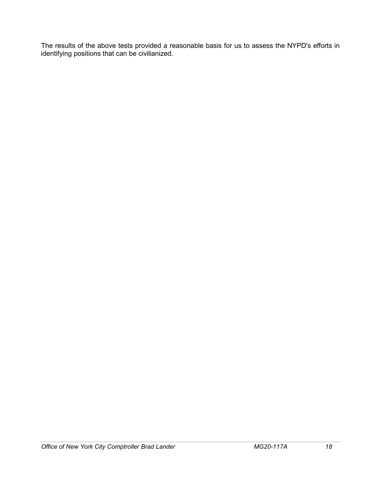The results of the above tests provided a reasonable basis for us to assess the NYPD's efforts in identifying positions that can be civilianized.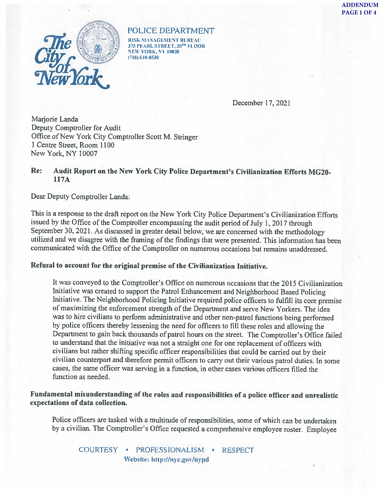

POLICE DEPARTMENT RISK MANAGEMENT BUREAU 375 PEARL STREET, 20TH FLOOR **NEW YORK, NY 10038** (718) 610-8530

December 17, 2021

Marjorie Landa Deputy Comptroller for Audit Office of New York City Comptroller Scott M. Stringer 1 Centre Street, Room 1100 New York, NY 10007

#### Audit Report on the New York City Police Department's Civilianization Efforts MG20-Re: 117A

Dear Deputy Comptroller Landa:

This is a response to the draft report on the New York City Police Department's Civilianization Efforts issued by the Office of the Comptroller encompassing the audit period of July 1, 2017 through September 30, 2021. As discussed in greater detail below, we are concerned with the methodology utilized and we disagree with the framing of the findings that were presented. This information has been communicated with the Office of the Comptroller on numerous occasions but remains unaddressed.

#### Refusal to account for the original premise of the Civilianization Initiative.

It was conveyed to the Comptroller's Office on numerous occasions that the 2015 Civilianization Initiative was created to support the Patrol Enhancement and Neighborhood Based Policing Initiative. The Neighborhood Policing Initiative required police officers to fulfill its core premise of maximizing the enforcement strength of the Department and serve New Yorkers. The idea was to hire civilians to perform administrative and other non-patrol functions being performed by police officers thereby lessening the need for officers to fill these roles and allowing the Department to gain back thousands of patrol hours on the street. The Comptroller's Office failed to understand that the initiative was not a straight one for one replacement of officers with civilians but rather shifting specific officer responsibilities that could be carried out by their civilian counterpart and therefore permit officers to carry out their various patrol duties. In some cases, the same officer was serving in a function, in other cases various officers filled the function as needed.

#### Fundamental misunderstanding of the roles and responsibilities of a police officer and unrealistic expectations of data collection.

Police officers are tasked with a multitude of responsibilities, some of which can be undertaken by a civilian. The Comptroller's Office requested a comprehensive employee roster. Employee

COURTESY · PROFESSIONALISM · RESPECT Website: http://nyc.gov/nypd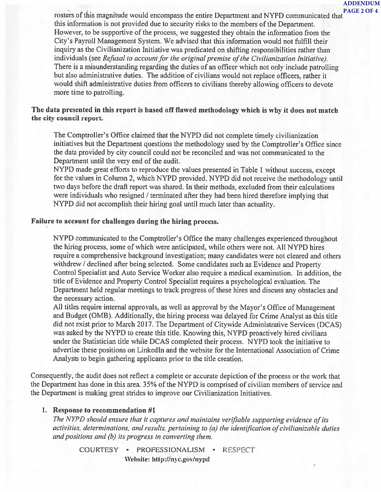**ADDENDUM** 

rosters of this magnitude would encompass the entire Department and NYPD communicated that PAGE 2 OF 4 this information is not provided due to security risks to the members of the Department. However, to be supportive of the process, we suggested they obtain the information from the City's Payroll Management System. We advised that this information would not fulfill their inquiry as the Civilianization Initiative was predicated on shifting responsibilities rather than individuals (see Refusal to account for the original premise of the Civilianization Initiative). There is a misunderstanding regarding the duties of an officer which not only include patrolling but also administrative duties. The addition of civilians would not replace officers, rather it would shift administrative duties from officers to civilians thereby allowing officers to devote more time to patrolling.

#### The data presented in this report is based off flawed methodology which is why it does not match the city council report.

The Comptroller's Office claimed that the NYPD did not complete timely civilianization initiatives but the Department questions the methodology used by the Comptroller's Office since the data provided by city council could not be reconciled and was not communicated to the Department until the very end of the audit.

NYPD made great efforts to reproduce the values presented in Table 1 without success, except for the values in Column 2, which NYPD provided. NYPD did not receive the methodology until two days before the draft report was shared. In their methods, excluded from their calculations were individuals who resigned / terminated after they had been hired therefore implying that NYPD did not accomplish their hiring goal until much later than actuality.

#### Failure to account for challenges during the hiring process.

NYPD communicated to the Comptroller's Office the many challenges experienced throughout the hiring process, some of which were anticipated, while others were not. All NYPD hires require a comprehensive background investigation; many candidates were not cleared and others withdrew / declined after being selected. Some candidates such as Evidence and Property Control Specialist and Auto Service Worker also require a medical examination. In addition, the title of Evidence and Property Control Specialist requires a psychological evaluation. The Department held regular meetings to track progress of these hires and discuss any obstacles and the necessary action.

All titles require internal approvals, as well as approval by the Mayor's Office of Management and Budget (OMB). Additionally, the hiring process was delayed for Crime Analyst as this title did not exist prior to March 2017. The Department of Citywide Administrative Services (DCAS) was asked by the NYPD to create this title. Knowing this, NYPD proactively hired civilians under the Statistician title while DCAS completed their process. NYPD took the initiative to advertise these positions on LinkedIn and the website for the International Association of Crime Analysts to begin gathering applicants prior to the title creation.

Consequently, the audit does not reflect a complete or accurate depiction of the process or the work that the Department has done in this area. 35% of the NYPD is comprised of civilian members of service and the Department is making great strides to improve our Civilianization Initiatives.

#### 1. Response to recommendation #1

The NYPD should ensure that it captures and maintains verifiable supporting evidence of its activities, determinations, and results, pertaining to (a) the identification of civilianizable duties and positions and (b) its progress in converting them.

COURTESY • PROFESSIONALISM • **RESPECT** Website: http://nyc.gov/nypd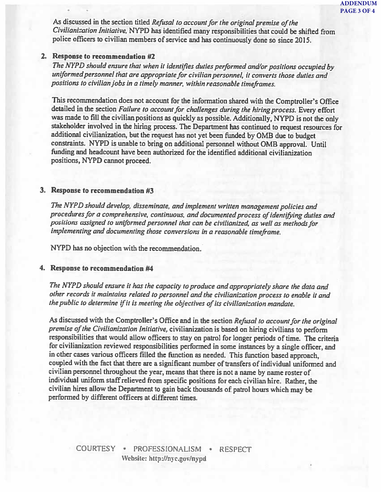As discussed in the section titled Refusal to account for the original premise of the Civilianization Initiative, NYPD has identified many responsibilities that could be shifted from police officers to civilian members of service and has continuously done so since 2015.

#### 2. Response to recommendation #2

The NYPD should ensure that when it identifies duties performed and/or positions occupied by uniformed personnel that are appropriate for civilian personnel, it converts those duties and positions to civilian jobs in a timely manner, within reasonable timeframes.

This recommendation does not account for the information shared with the Comptroller's Office detailed in the section Failure to account for challenges during the hiring process. Every effort was made to fill the civilian positions as quickly as possible. Additionally, NYPD is not the only stakeholder involved in the hiring process. The Department has continued to request resources for additional civilianization, but the request has not yet been funded by OMB due to budget constraints. NYPD is unable to bring on additional personnel without OMB approval. Until funding and headcount have been authorized for the identified additional civilianization positions, NYPD cannot proceed.

#### 3. Response to recommendation #3

The NYPD should develop, disseminate, and implement written management policies and procedures for a comprehensive, continuous, and documented process of identifying duties and positions assigned to uniformed personnel that can be civilianized, as well as methods for implementing and documenting those conversions in a reasonable timeframe.

NYPD has no objection with the recommendation.

#### 4. Response to recommendation #4

The NYPD should ensure it has the capacity to produce and appropriately share the data and other records it maintains related to personnel and the civilianization process to enable it and the public to determine if it is meeting the objectives of its civilianization mandate.

As discussed with the Comptroller's Office and in the section Refusal to account for the original premise of the Civilianization Initiative, civilianization is based on hiring civilians to perform responsibilities that would allow officers to stay on patrol for longer periods of time. The criteria for civilianization reviewed responsibilities performed in some instances by a single officer, and in other cases various officers filled the function as needed. This function based approach, coupled with the fact that there are a significant number of transfers of individual uniformed and civilian personnel throughout the year, means that there is not a name by name roster of individual uniform staff relieved from specific positions for each civilian hire. Rather, the civilian hires allow the Department to gain back thousands of patrol hours which may be performed by different officers at different times.